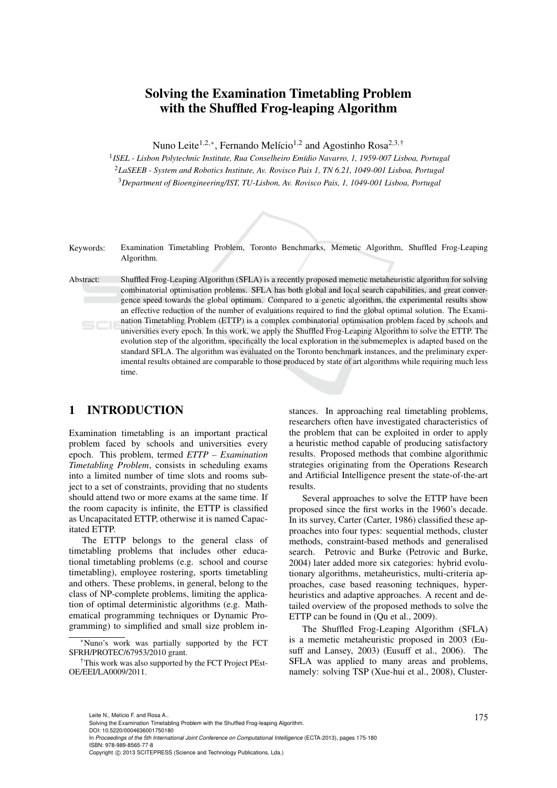# Solving the Examination Timetabling Problem with the Shuffled Frog-leaping Algorithm

Nuno Leite<sup>1,2,∗</sup>, Fernando Melício<sup>1,2</sup> and Agostinho Rosa<sup>2,3,†</sup>

<sup>1</sup> ISEL - Lisbon Polytechnic Institute, Rua Conselheiro Emídio Navarro, 1, 1959-007 Lisboa, Portugal <sup>2</sup>*LaSEEB - System and Robotics Institute, Av. Rovisco Pais 1, TN 6.21, 1049-001 Lisboa, Portugal* <sup>3</sup>*Department of Bioengineering/IST, TU-Lisbon, Av. Rovisco Pais, 1, 1049-001 Lisboa, Portugal*



Keywords: Examination Timetabling Problem, Toronto Benchmarks, Memetic Algorithm, Shuffled Frog-Leaping Algorithm.

Abstract: Shuffled Frog-Leaping Algorithm (SFLA) is a recently proposed memetic metaheuristic algorithm for solving combinatorial optimisation problems. SFLA has both global and local search capabilities, and great convergence speed towards the global optimum. Compared to a genetic algorithm, the experimental results show an effective reduction of the number of evaluations required to find the global optimal solution. The Examination Timetabling Problem (ETTP) is a complex combinatorial optimisation problem faced by schools and universities every epoch. In this work, we apply the Shuffled Frog-Leaping Algorithm to solve the ETTP. The evolution step of the algorithm, specifically the local exploration in the submemeplex is adapted based on the standard SFLA. The algorithm was evaluated on the Toronto benchmark instances, and the preliminary experimental results obtained are comparable to those produced by state of art algorithms while requiring much less time.

## 1 INTRODUCTION

Examination timetabling is an important practical problem faced by schools and universities every epoch. This problem, termed *ETTP – Examination Timetabling Problem*, consists in scheduling exams into a limited number of time slots and rooms subject to a set of constraints, providing that no students should attend two or more exams at the same time. If the room capacity is infinite, the ETTP is classified as Uncapacitated ETTP, otherwise it is named Capacitated ETTP.

The ETTP belongs to the general class of timetabling problems that includes other educational timetabling problems (e.g. school and course timetabling), employee rostering, sports timetabling and others. These problems, in general, belong to the class of NP-complete problems, limiting the application of optimal deterministic algorithms (e.g. Mathematical programming techniques or Dynamic Programming) to simplified and small size problem in-

stances. In approaching real timetabling problems, researchers often have investigated characteristics of the problem that can be exploited in order to apply a heuristic method capable of producing satisfactory results. Proposed methods that combine algorithmic strategies originating from the Operations Research and Artificial Intelligence present the state-of-the-art results.

Several approaches to solve the ETTP have been proposed since the first works in the 1960's decade. In its survey, Carter (Carter, 1986) classified these approaches into four types: sequential methods, cluster methods, constraint-based methods and generalised search. Petrovic and Burke (Petrovic and Burke, 2004) later added more six categories: hybrid evolutionary algorithms, metaheuristics, multi-criteria approaches, case based reasoning techniques, hyperheuristics and adaptive approaches. A recent and detailed overview of the proposed methods to solve the ETTP can be found in (Qu et al., 2009).

The Shuffled Frog-Leaping Algorithm (SFLA) is a memetic metaheuristic proposed in 2003 (Eusuff and Lansey, 2003) (Eusuff et al., 2006). The SFLA was applied to many areas and problems, namely: solving TSP (Xue-hui et al., 2008), Cluster-

<sup>∗</sup>Nuno's work was partially supported by the FCT SFRH/PROTEC/67953/2010 grant.

<sup>†</sup>This work was also supported by the FCT Project PEst-OE/EEI/LA0009/2011.

Leite N., Melício F. and Rosa A..<br>Solving the Examination Timetabling Problem with the Shuffled Frog-leaping Algorithm.

DOI: 10.5220/0004636001750180

In *Proceedings of the 5th International Joint Conference on Computational Intelligence* (ECTA-2013), pages 175-180 ISBN: 978-989-8565-77-8

Copyright © 2013 SCITEPRESS (Science and Technology Publications, Lda.)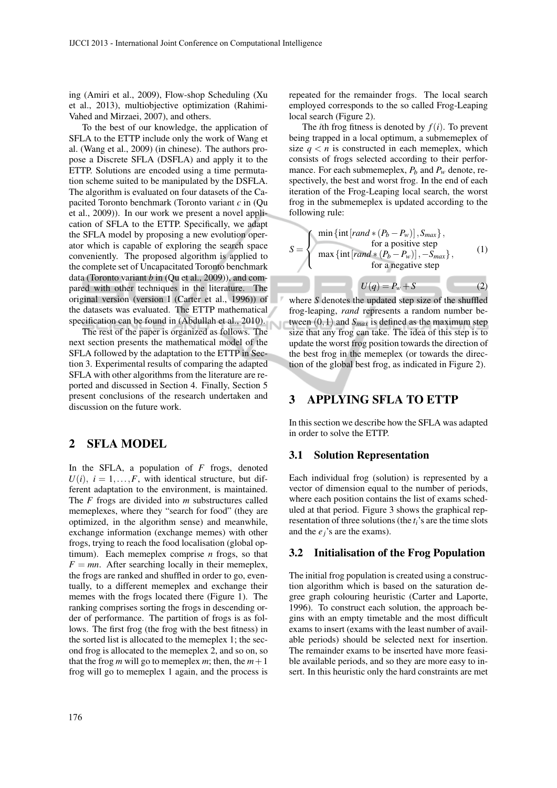ing (Amiri et al., 2009), Flow-shop Scheduling (Xu et al., 2013), multiobjective optimization (Rahimi-Vahed and Mirzaei, 2007), and others.

To the best of our knowledge, the application of SFLA to the ETTP include only the work of Wang et al. (Wang et al., 2009) (in chinese). The authors propose a Discrete SFLA (DSFLA) and apply it to the ETTP. Solutions are encoded using a time permutation scheme suited to be manipulated by the DSFLA. The algorithm is evaluated on four datasets of the Capacited Toronto benchmark (Toronto variant *c* in (Qu et al., 2009)). In our work we present a novel application of SFLA to the ETTP. Specifically, we adapt the SFLA model by proposing a new evolution operator which is capable of exploring the search space conveniently. The proposed algorithm is applied to the complete set of Uncapacitated Toronto benchmark data (Toronto variant *b* in (Qu et al., 2009)), and compared with other techniques in the literature. The original version (version I (Carter et al., 1996)) of the datasets was evaluated. The ETTP mathematical specification can be found in (Abdullah et al., 2010).

The rest of the paper is organized as follows. The next section presents the mathematical model of the SFLA followed by the adaptation to the ETTP in Section 3. Experimental results of comparing the adapted SFLA with other algorithms from the literature are reported and discussed in Section 4. Finally, Section 5 present conclusions of the research undertaken and discussion on the future work.

## 2 SFLA MODEL

In the SFLA, a population of *F* frogs, denoted  $U(i)$ ,  $i = 1, \ldots, F$ , with identical structure, but different adaptation to the environment, is maintained. The *F* frogs are divided into *m* substructures called memeplexes, where they "search for food" (they are optimized, in the algorithm sense) and meanwhile, exchange information (exchange memes) with other frogs, trying to reach the food localisation (global optimum). Each memeplex comprise *n* frogs, so that  $F = mn$ . After searching locally in their memeplex, the frogs are ranked and shuffled in order to go, eventually, to a different memeplex and exchange their memes with the frogs located there (Figure 1). The ranking comprises sorting the frogs in descending order of performance. The partition of frogs is as follows. The first frog (the frog with the best fitness) in the sorted list is allocated to the memeplex 1; the second frog is allocated to the memeplex 2, and so on, so that the frog *m* will go to memeplex *m*; then, the  $m+1$ frog will go to memeplex 1 again, and the process is repeated for the remainder frogs. The local search employed corresponds to the so called Frog-Leaping local search (Figure 2).

The *i*th frog fitness is denoted by  $f(i)$ . To prevent being trapped in a local optimum, a submemeplex of size  $q < n$  is constructed in each memeplex, which consists of frogs selected according to their performance. For each submemeplex,  $P_b$  and  $P_w$  denote, respectively, the best and worst frog. In the end of each iteration of the Frog-Leaping local search, the worst frog in the submemeplex is updated according to the following rule:

$$
S = \begin{cases} \min\{\inf\left[rand * (P_b - P_w)\right], S_{max}\}, \\ \text{for a positive step} \\ \max\{\inf\left[rand * (P_b - P_w)\right], -S_{max}\}, \\ \text{for a negative step} \end{cases} \tag{1}
$$

where *S* denotes the updated step size of the shuffled frog-leaping, *rand* represents a random number between  $(0,1)$  and  $S<sub>max</sub>$  is defined as the maximum step size that any frog can take. The idea of this step is to update the worst frog position towards the direction of the best frog in the memeplex (or towards the direction of the global best frog, as indicated in Figure 2).

## 3 APPLYING SFLA TO ETTP

In this section we describe how the SFLA was adapted in order to solve the ETTP.

#### 3.1 Solution Representation

Each individual frog (solution) is represented by a vector of dimension equal to the number of periods, where each position contains the list of exams scheduled at that period. Figure 3 shows the graphical representation of three solutions (the *ti*'s are the time slots and the *ej*'s are the exams).

#### 3.2 Initialisation of the Frog Population

The initial frog population is created using a construction algorithm which is based on the saturation degree graph colouring heuristic (Carter and Laporte, 1996). To construct each solution, the approach begins with an empty timetable and the most difficult exams to insert (exams with the least number of available periods) should be selected next for insertion. The remainder exams to be inserted have more feasible available periods, and so they are more easy to insert. In this heuristic only the hard constraints are met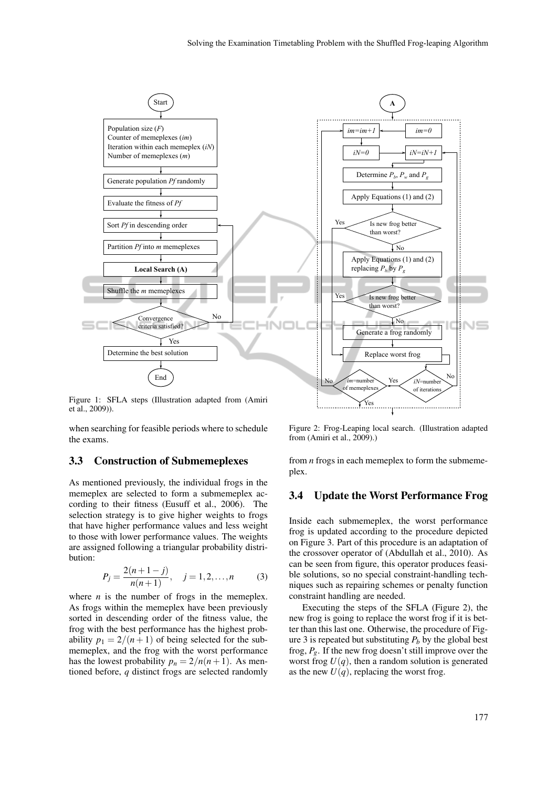

Figure 1: SFLA steps (Illustration adapted from (Amiri et al., 2009)).

when searching for feasible periods where to schedule the exams.

#### 3.3 Construction of Submemeplexes

As mentioned previously, the individual frogs in the memeplex are selected to form a submemeplex according to their fitness (Eusuff et al., 2006). The selection strategy is to give higher weights to frogs that have higher performance values and less weight to those with lower performance values. The weights are assigned following a triangular probability distribution:

$$
P_j = \frac{2(n+1-j)}{n(n+1)}, \quad j = 1, 2, ..., n \tag{3}
$$

where  $n$  is the number of frogs in the memeplex. As frogs within the memeplex have been previously sorted in descending order of the fitness value, the frog with the best performance has the highest probability  $p_1 = 2/(n+1)$  of being selected for the submemeplex, and the frog with the worst performance has the lowest probability  $p_n = 2/n(n+1)$ . As mentioned before, *q* distinct frogs are selected randomly

Figure 2: Frog-Leaping local search. (Illustration adapted from (Amiri et al., 2009).)

Yes

from *n* frogs in each memeplex to form the submemeplex.

### 3.4 Update the Worst Performance Frog

Inside each submemeplex, the worst performance frog is updated according to the procedure depicted on Figure 3. Part of this procedure is an adaptation of the crossover operator of (Abdullah et al., 2010). As can be seen from figure, this operator produces feasible solutions, so no special constraint-handling techniques such as repairing schemes or penalty function constraint handling are needed.

Executing the steps of the SFLA (Figure 2), the new frog is going to replace the worst frog if it is better than this last one. Otherwise, the procedure of Figure 3 is repeated but substituting  $P_b$  by the global best frog,  $P_g$ . If the new frog doesn't still improve over the worst frog  $U(q)$ , then a random solution is generated as the new  $U(q)$ , replacing the worst frog.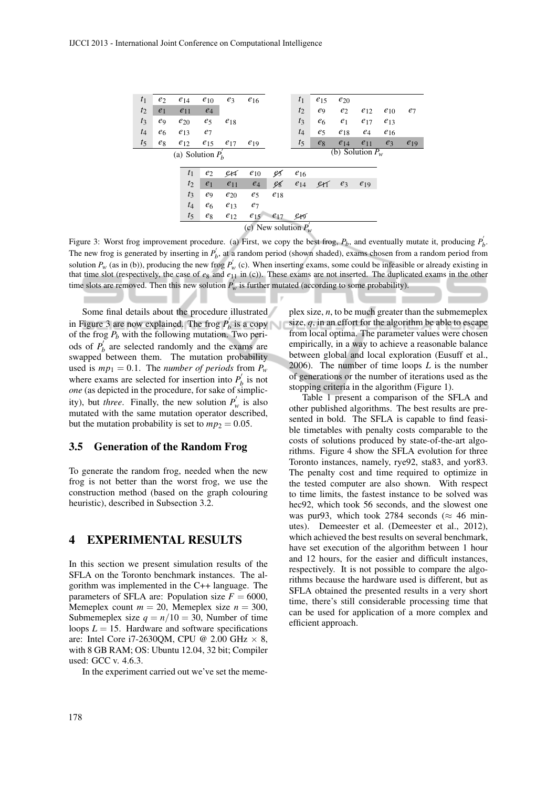| $t_1$                  | $e_2$          | $e_{14}$           | $e_{10}$       | $e_3$    | $e_{16}$ |          | t <sub>1</sub> | $e_{15}$       | $e_{20}$       |                    |          |          |
|------------------------|----------------|--------------------|----------------|----------|----------|----------|----------------|----------------|----------------|--------------------|----------|----------|
| $t_2$                  | e <sub>1</sub> | $e_{11}$           | $e_4$          |          |          |          | $t_2$          | e9             | e <sub>2</sub> | $e_{12}$           | $e_{10}$ | $e_7$    |
| $t_3$                  | e9             | $e_{20}$           | $e_5$          | $e_{18}$ |          |          | $t_3$          | e <sub>6</sub> | $e_1$          | $e_{17}$           | $e_{13}$ |          |
| $t_4$                  | e <sub>6</sub> | $e_{13}$           | $e_7$          |          |          |          | $t_4$          | e <sub>5</sub> | $e_{18}$       | $e_4$              | $e_{16}$ |          |
| $t_5$                  | $e_8$          | $e_{12}$           | $e_{15}$       | $e_{17}$ | $e_{19}$ |          | $t_5$          | $e_8$          | $e_{14}$       | $e_{11}$           | $e_3$    | $e_{19}$ |
|                        |                | (a) Solution $P_h$ |                |          |          |          |                |                |                | (b) Solution $P_w$ |          |          |
|                        |                |                    |                |          |          |          |                |                |                |                    |          |          |
|                        |                | t <sub>1</sub>     | e <sub>2</sub> | er1      | $e_{10}$ | Ç5,      | $e_{16}$       |                |                |                    |          |          |
|                        |                | $t_2$              | e <sub>1</sub> | $e_{11}$ | $e_4$    | e8       | $e_{14}$       | erf            | $e_3$          | $e_{19}$           |          |          |
|                        |                | $t_3$              | e9             | $e_{20}$ | $e_5$    | $e_{18}$ |                |                |                |                    |          |          |
|                        |                | $t_4$              | e <sub>6</sub> | $e_{13}$ | $e_7$    |          |                |                |                |                    |          |          |
|                        |                | $t_5$              | $e_8$          | $e_{12}$ | $e_{15}$ | $e_{17}$ | ers            |                |                |                    |          |          |
| (c) New solution $P_w$ |                |                    |                |          |          |          |                |                |                |                    |          |          |
|                        |                |                    |                |          |          |          |                |                |                |                    |          |          |

Figure 3: Worst frog improvement procedure. (a) First, we copy the best frog,  $P_b$ , and eventually mutate it, producing  $P_b'$ . The new frog is generated by inserting in  $P_b'$ , at a random period (shown shaded), exams chosen from a random period from solution  $P_w$  (as in (b)), producing the new frog  $P'_w$  (c). When inserting exams, some could be infeasible or already existing in that time slot (respectively, the case of  $e_8$  and  $e_{11}$  in (c)). These exams are not inserted. The duplicated exams in the other time slots are removed. Then this new solution  $P_w$  is further mutated (according to some probability).

Ń

Some final details about the procedure illustrated in Figure 3 are now explained. The frog  $P'_p$  $\mathbf{b}_b$  is a copy of the frog  $P_b$  with the following mutation. Two periods of  $P_{k}^{'}$  $b<sub>b</sub>$  are selected randomly and the exams are swapped between them. The mutation probability used is  $mp_1 = 0.1$ . The *number of periods* from  $P_w$ where exams are selected for insertion into  $P'_{\textit{p}}$  $\mathbf{b}_b$  is not *one* (as depicted in the procedure, for sake of simplicity), but *three*. Finally, the new solution  $P'_w$  is also mutated with the same mutation operator described, but the mutation probability is set to  $mp_2 = 0.05$ .

#### 3.5 Generation of the Random Frog

To generate the random frog, needed when the new frog is not better than the worst frog, we use the construction method (based on the graph colouring heuristic), described in Subsection 3.2.

### 4 EXPERIMENTAL RESULTS

In this section we present simulation results of the SFLA on the Toronto benchmark instances. The algorithm was implemented in the C++ language. The parameters of SFLA are: Population size  $F = 6000$ , Memeplex count  $m = 20$ , Memeplex size  $n = 300$ , Submemeplex size  $q = n/10 = 30$ , Number of time loops  $L = 15$ . Hardware and software specifications are: Intel Core i7-2630QM, CPU @ 2.00 GHz  $\times$  8, with 8 GB RAM; OS: Ubuntu 12.04, 32 bit; Compiler used: GCC v. 4.6.3.

In the experiment carried out we've set the meme-

plex size, *n*, to be much greater than the submemeplex size, *q*, in an effort for the algorithm be able to escape from local optima. The parameter values were chosen empirically, in a way to achieve a reasonable balance between global and local exploration (Eusuff et al., 2006). The number of time loops *L* is the number of generations or the number of iterations used as the stopping criteria in the algorithm (Figure 1).

Table 1 present a comparison of the SFLA and other published algorithms. The best results are presented in bold. The SFLA is capable to find feasible timetables with penalty costs comparable to the costs of solutions produced by state-of-the-art algorithms. Figure 4 show the SFLA evolution for three Toronto instances, namely, rye92, sta83, and yor83. The penalty cost and time required to optimize in the tested computer are also shown. With respect to time limits, the fastest instance to be solved was hec92, which took 56 seconds, and the slowest one was pur93, which took 2784 seconds ( $\approx$  46 minutes). Demeester et al. (Demeester et al., 2012), which achieved the best results on several benchmark, have set execution of the algorithm between 1 hour and 12 hours, for the easier and difficult instances, respectively. It is not possible to compare the algorithms because the hardware used is different, but as SFLA obtained the presented results in a very short time, there's still considerable processing time that can be used for application of a more complex and efficient approach.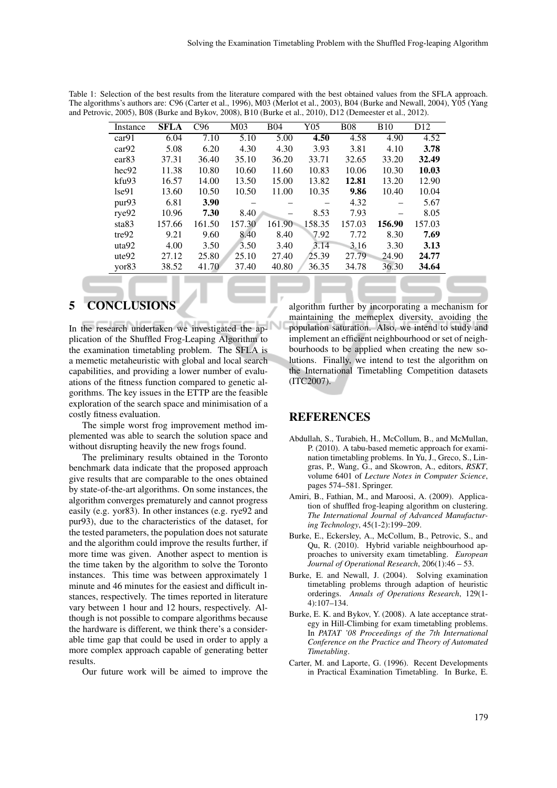| Instance          | <b>SFLA</b> | C96         | M <sub>03</sub> | <b>B04</b> | Y05    | <b>B08</b> | <b>B10</b> | D <sub>12</sub> |
|-------------------|-------------|-------------|-----------------|------------|--------|------------|------------|-----------------|
| car91             | 6.04        | 7.10        | 5.10            | 5.00       | 4.50   | 4.58       | 4.90       | 4.52            |
| car92             | 5.08        | 6.20        | 4.30            | 4.30       | 3.93   | 3.81       | 4.10       | 3.78            |
| ear <sub>83</sub> | 37.31       | 36.40       | 35.10           | 36.20      | 33.71  | 32.65      | 33.20      | 32.49           |
| hec92             | 11.38       | 10.80       | 10.60           | 11.60      | 10.83  | 10.06      | 10.30      | 10.03           |
| kfu93             | 16.57       | 14.00       | 13.50           | 15.00      | 13.82  | 12.81      | 13.20      | 12.90           |
| $1$ se $91$       | 13.60       | 10.50       | 10.50           | 11.00      | 10.35  | 9.86       | 10.40      | 10.04           |
| pur93             | 6.81        | <b>3.90</b> |                 |            |        | 4.32       |            | 5.67            |
| rye92             | 10.96       | 7.30        | 8.40            |            | 8.53   | 7.93       |            | 8.05            |
| sta83             | 157.66      | 161.50      | 157.30          | 161.90     | 158.35 | 157.03     | 156.90     | 157.03          |
| tre92             | 9.21        | 9.60        | 8.40            | 8.40       | 7.92   | 7.72       | 8.30       | 7.69            |
| uta92             | 4.00        | 3.50        | 3.50            | 3.40       | 3.14   | 3.16       | 3.30       | 3.13            |
| ute92             | 27.12       | 25.80       | 25.10           | 27.40      | 25.39  | 27.79      | 24.90      | 24.77           |
| yor <sub>83</sub> | 38.52       | 41.70       | 37.40           | 40.80      | 36.35  | 34.78      | 36.30      | 34.64           |

Table 1: Selection of the best results from the literature compared with the best obtained values from the SFLA approach. The algorithms's authors are: C96 (Carter et al., 1996), M03 (Merlot et al., 2003), B04 (Burke and Newall, 2004), Y05 (Yang and Petrovic, 2005), B08 (Burke and Bykov, 2008), B10 (Burke et al., 2010), D12 (Demeester et al., 2012).

#### **CONCLUSIONS** 5

In the research undertaken we investigated the application of the Shuffled Frog-Leaping Algorithm to the examination timetabling problem. The SFLA is a memetic metaheuristic with global and local search capabilities, and providing a lower number of evaluations of the fitness function compared to genetic algorithms. The key issues in the ETTP are the feasible exploration of the search space and minimisation of a costly fitness evaluation.

The simple worst frog improvement method implemented was able to search the solution space and without disrupting heavily the new frogs found.

The preliminary results obtained in the Toronto benchmark data indicate that the proposed approach give results that are comparable to the ones obtained by state-of-the-art algorithms. On some instances, the algorithm converges prematurely and cannot progress easily (e.g. yor83). In other instances (e.g. rye92 and pur93), due to the characteristics of the dataset, for the tested parameters, the population does not saturate and the algorithm could improve the results further, if more time was given. Another aspect to mention is the time taken by the algorithm to solve the Toronto instances. This time was between approximately 1 minute and 46 minutes for the easiest and difficult instances, respectively. The times reported in literature vary between 1 hour and 12 hours, respectively. Although is not possible to compare algorithms because the hardware is different, we think there's a considerable time gap that could be used in order to apply a more complex approach capable of generating better results.

Our future work will be aimed to improve the

algorithm further by incorporating a mechanism for maintaining the memeplex diversity, avoiding the population saturation. Also, we intend to study and implement an efficient neighbourhood or set of neighbourhoods to be applied when creating the new solutions. Finally, we intend to test the algorithm on the International Timetabling Competition datasets (ITC2007).

### **REFERENCES**

- Abdullah, S., Turabieh, H., McCollum, B., and McMullan, P. (2010). A tabu-based memetic approach for examination timetabling problems. In Yu, J., Greco, S., Lingras, P., Wang, G., and Skowron, A., editors, RSKT, volume 6401 of Lecture Notes in Computer Science, pages 574–581. Springer.
- Amiri, B., Fathian, M., and Maroosi, A. (2009). Application of shuffled frog-leaping algorithm on clustering. The International Journal of Advanced Manufacturing Technology, 45(1-2):199-209.
- Burke, E., Eckersley, A., McCollum, B., Petrovic, S., and Qu, R. (2010). Hybrid variable neighbourhood approaches to university exam timetabling. European Journal of Operational Research, 206(1):46 - 53.
- Burke, E. and Newall, J. (2004). Solving examination timetabling problems through adaption of heuristic orderings. Annals of Operations Research, 129(1- $4$ :107-134.
- Burke, E. K. and Bykov, Y. (2008). A late acceptance strategy in Hill-Climbing for exam timetabling problems. In PATAT '08 Proceedings of the 7th International Conference on the Practice and Theory of Automated Timetabling.
- Carter, M. and Laporte, G. (1996). Recent Developments in Practical Examination Timetabling. In Burke, E.